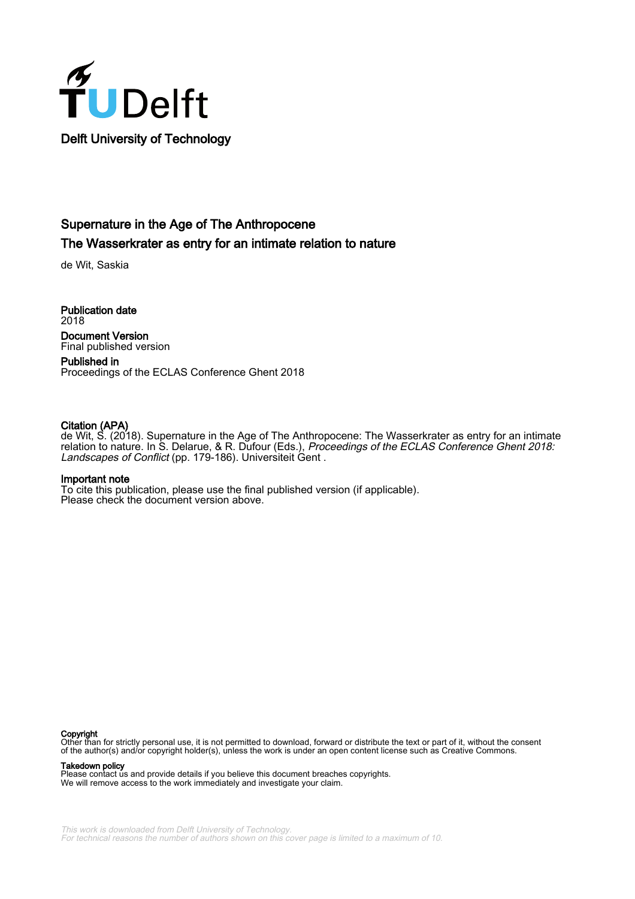

# Supernature in the Age of The Anthropocene The Wasserkrater as entry for an intimate relation to nature

de Wit, Saskia

Publication date 2018 Document Version Final published version

Published in Proceedings of the ECLAS Conference Ghent 2018

#### Citation (APA)

de Wit, S. (2018). Supernature in the Age of The Anthropocene: The Wasserkrater as entry for an intimate relation to nature. In S. Delarue, & R. Dufour (Eds.), Proceedings of the ECLAS Conference Ghent 2018: Landscapes of Conflict (pp. 179-186). Universiteit Gent .

#### Important note

To cite this publication, please use the final published version (if applicable). Please check the document version above.

#### Copyright

Other than for strictly personal use, it is not permitted to download, forward or distribute the text or part of it, without the consent of the author(s) and/or copyright holder(s), unless the work is under an open content license such as Creative Commons.

Takedown policy

Please contact us and provide details if you believe this document breaches copyrights. We will remove access to the work immediately and investigate your claim.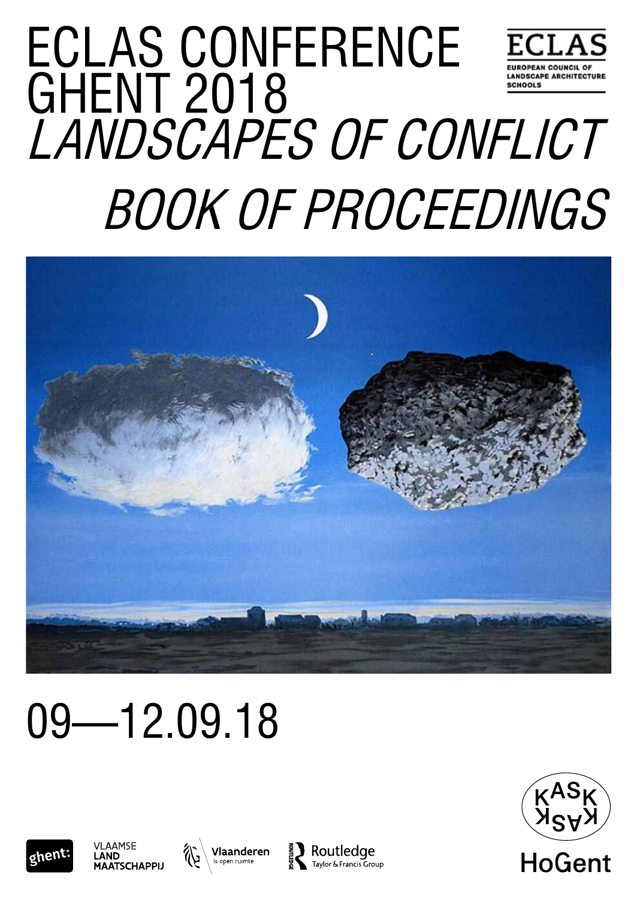# ECLAS CONFERENCE **EUROPEAN COUNCIL OF** GHENT 2018 **ANDSCAPE ARCHITECTURE** CHOOLS Landscapes of Conflict Book of proceedings



# 09—12.09.18









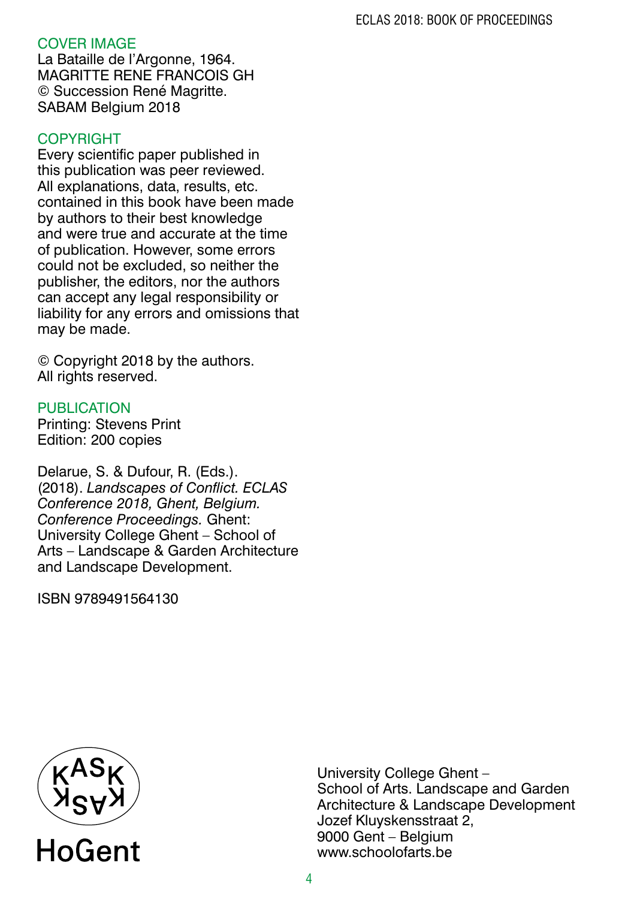# COVER IMAGE

La Bataille de l'Argonne, 1964. MAGRITTE RENE FRANCOIS GH © Succession René Magritte. SABAM Belgium 2018

# COPYRIGHT

Every scientific paper published in this publication was peer reviewed. All explanations, data, results, etc. contained in this book have been made by authors to their best knowledge and were true and accurate at the time of publication. However, some errors could not be excluded, so neither the publisher, the editors, nor the authors can accept any legal responsibility or liability for any errors and omissions that may be made.

© Copyright 2018 by the authors. All rights reserved.

## **PUBLICATION**

Printing: Stevens Print Edition: 200 copies

Delarue, S. & Dufour, R. (Eds.). (2018). *Landscapes of Conflict. ECLAS Conference 2018, Ghent, Belgium. Conference Proceedings.* Ghent: University College Ghent – School of Arts – Landscape & Garden Architecture and Landscape Development.

ISBN 9789491564130



University College Ghent – School of Arts. Landscape and Garden Architecture & Landscape Development Jozef Kluyskensstraat 2, 9000 Gent – Belgium www.schoolofarts.be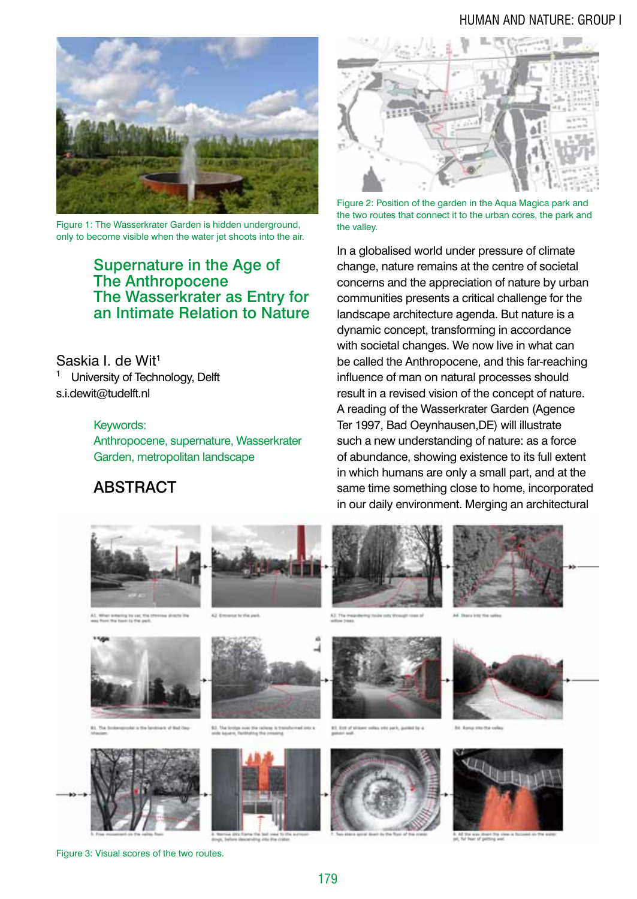#### human and nature: group i



Figure 1: The Wasserkrater Garden is hidden underground. only to become visible when the water jet shoots into the air.

### Supernature in the Age of The Anthropocene The Wasserkrater as Entry for an Intimate Relation to Nature

Saskia I. de Wit<sup>1</sup> University of Technology, Delft s.i.dewit@tudelft.nl

#### Keywords:

Anthropocene, supernature, Wasserkrater Garden, metropolitan landscape

# **ABSTRACT**



Figure 2: Position of the garden in the Aqua Magica park and the two routes that connect it to the urban cores, the park and the valley.

In a globalised world under pressure of climate change, nature remains at the centre of societal concerns and the appreciation of nature by urban communities presents a critical challenge for the landscape architecture agenda. But nature is a dynamic concept, transforming in accordance with societal changes. We now live in what can be called the Anthropocene, and this far-reaching influence of man on natural processes should result in a revised vision of the concept of nature. A reading of the Wasserkrater Garden (Agence Ter 1997, Bad Oeynhausen,DE) will illustrate such a new understanding of nature: as a force of abundance, showing existence to its full extent in which humans are only a small part, and at the same time something close to home, incorporated in our daily environment. Merging an architectural



Figure 3: Visual scores of the two routes.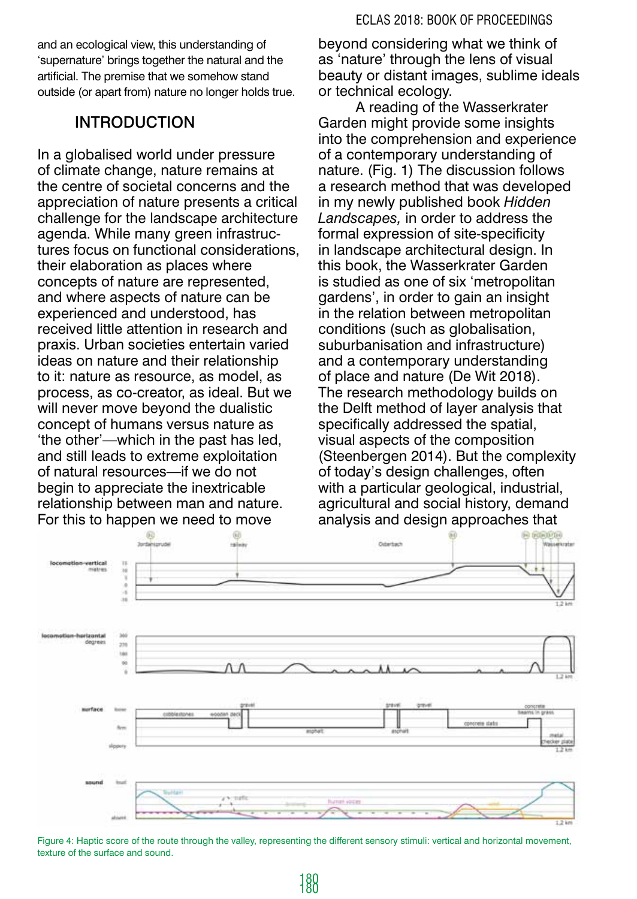and an ecological view, this understanding of 'supernature' brings together the natural and the artificial. The premise that we somehow stand outside (or apart from) nature no longer holds true.

# introduction

In a globalised world under pressure of climate change, nature remains at the centre of societal concerns and the appreciation of nature presents a critical challenge for the landscape architecture agenda. While many green infrastructures focus on functional considerations, their elaboration as places where concepts of nature are represented, and where aspects of nature can be experienced and understood, has received little attention in research and praxis. Urban societies entertain varied ideas on nature and their relationship to it: nature as resource, as model, as process, as co-creator, as ideal. But we will never move beyond the dualistic concept of humans versus nature as 'the other'—which in the past has led, and still leads to extreme exploitation of natural resources—if we do not begin to appreciate the inextricable relationship between man and nature. For this to happen we need to move

beyond considering what we think of as 'nature' through the lens of visual beauty or distant images, sublime ideals or technical ecology.

A reading of the Wasserkrater Garden might provide some insights into the comprehension and experience of a contemporary understanding of nature. (Fig. 1) The discussion follows a research method that was developed in my newly published book *Hidden Landscapes,* in order to address the formal expression of site-specificity in landscape architectural design. In this book, the Wasserkrater Garden is studied as one of six 'metropolitan gardens', in order to gain an insight in the relation between metropolitan conditions (such as globalisation, suburbanisation and infrastructure) and a contemporary understanding of place and nature (De Wit 2018). The research methodology builds on the Delft method of layer analysis that specifically addressed the spatial, visual aspects of the composition (Steenbergen 2014). But the complexity of today's design challenges, often with a particular geological, industrial, agricultural and social history, demand analysis and design approaches that



Figure 4: Haptic score of the route through the valley, representing the different sensory stimuli: vertical and horizontal movement, texture of the surface and sound.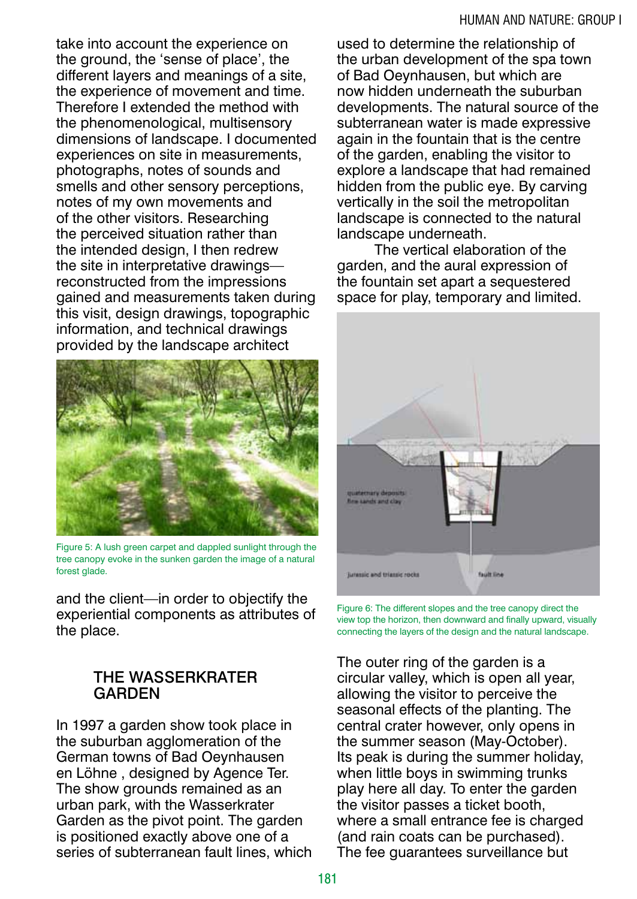take into account the experience on the ground, the 'sense of place', the different layers and meanings of a site, the experience of movement and time. Therefore I extended the method with the phenomenological, multisensory dimensions of landscape. I documented experiences on site in measurements, photographs, notes of sounds and smells and other sensory perceptions, notes of my own movements and of the other visitors. Researching the perceived situation rather than the intended design, I then redrew the site in interpretative drawings reconstructed from the impressions gained and measurements taken during this visit, design drawings, topographic information, and technical drawings provided by the landscape architect



Figure 5: A lush green carpet and dappled sunlight through the tree canopy evoke in the sunken garden the image of a natural forest glade.

and the client—in order to objectify the experiential components as attributes of the place.

# THE WASSERKRATER GARDEN

In 1997 a garden show took place in the suburban agglomeration of the German towns of Bad Oeynhausen en Löhne , designed by Agence Ter. The show grounds remained as an urban park, with the Wasserkrater Garden as the pivot point. The garden is positioned exactly above one of a series of subterranean fault lines, which used to determine the relationship of the urban development of the spa town of Bad Oeynhausen, but which are now hidden underneath the suburban developments. The natural source of the subterranean water is made expressive again in the fountain that is the centre of the garden, enabling the visitor to explore a landscape that had remained hidden from the public eye. By carving vertically in the soil the metropolitan landscape is connected to the natural landscape underneath.

The vertical elaboration of the garden, and the aural expression of the fountain set apart a sequestered space for play, temporary and limited.



Figure 6: The different slopes and the tree canopy direct the view top the horizon, then downward and finally upward, visually connecting the layers of the design and the natural landscape.

The outer ring of the garden is a circular valley, which is open all year, allowing the visitor to perceive the seasonal effects of the planting. The central crater however, only opens in the summer season (May-October). Its peak is during the summer holiday, when little boys in swimming trunks play here all day. To enter the garden the visitor passes a ticket booth, where a small entrance fee is charged (and rain coats can be purchased). The fee guarantees surveillance but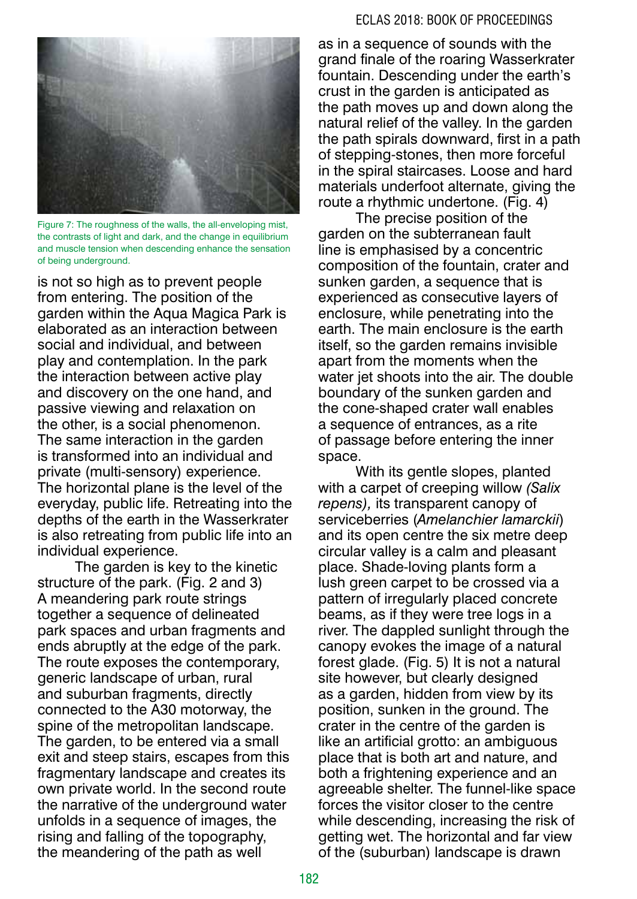#### ECLAS 2018: BOOK OF PROCEEDINGS



Figure 7: The roughness of the walls, the all-enveloping mist, the contrasts of light and dark, and the change in equilibrium and muscle tension when descending enhance the sensation of being underground.

is not so high as to prevent people from entering. The position of the garden within the Aqua Magica Park is elaborated as an interaction between social and individual, and between play and contemplation. In the park the interaction between active play and discovery on the one hand, and passive viewing and relaxation on the other, is a social phenomenon. The same interaction in the garden is transformed into an individual and private (multi-sensory) experience. The horizontal plane is the level of the everyday, public life. Retreating into the depths of the earth in the Wasserkrater is also retreating from public life into an individual experience.

The garden is key to the kinetic structure of the park. (Fig. 2 and 3) A meandering park route strings together a sequence of delineated park spaces and urban fragments and ends abruptly at the edge of the park. The route exposes the contemporary, generic landscape of urban, rural and suburban fragments, directly connected to the A30 motorway, the spine of the metropolitan landscape. The garden, to be entered via a small exit and steep stairs, escapes from this fragmentary landscape and creates its own private world. In the second route the narrative of the underground water unfolds in a sequence of images, the rising and falling of the topography, the meandering of the path as well

as in a sequence of sounds with the grand finale of the roaring Wasserkrater fountain. Descending under the earth's crust in the garden is anticipated as the path moves up and down along the natural relief of the valley. In the garden the path spirals downward, first in a path of stepping-stones, then more forceful in the spiral staircases. Loose and hard materials underfoot alternate, giving the route a rhythmic undertone. (Fig. 4)

The precise position of the garden on the subterranean fault line is emphasised by a concentric composition of the fountain, crater and sunken garden, a sequence that is experienced as consecutive layers of enclosure, while penetrating into the earth. The main enclosure is the earth itself, so the garden remains invisible apart from the moments when the water jet shoots into the air. The double boundary of the sunken garden and the cone-shaped crater wall enables a sequence of entrances, as a rite of passage before entering the inner space.

With its gentle slopes, planted with a carpet of creeping willow *(Salix repens),* its transparent canopy of serviceberries (*Amelanchier lamarckii*) and its open centre the six metre deep circular valley is a calm and pleasant place. Shade-loving plants form a lush green carpet to be crossed via a pattern of irregularly placed concrete beams, as if they were tree logs in a river. The dappled sunlight through the canopy evokes the image of a natural forest glade. (Fig. 5) It is not a natural site however, but clearly designed as a garden, hidden from view by its position, sunken in the ground. The crater in the centre of the garden is like an artificial grotto: an ambiguous place that is both art and nature, and both a frightening experience and an agreeable shelter. The funnel-like space forces the visitor closer to the centre while descending, increasing the risk of getting wet. The horizontal and far view of the (suburban) landscape is drawn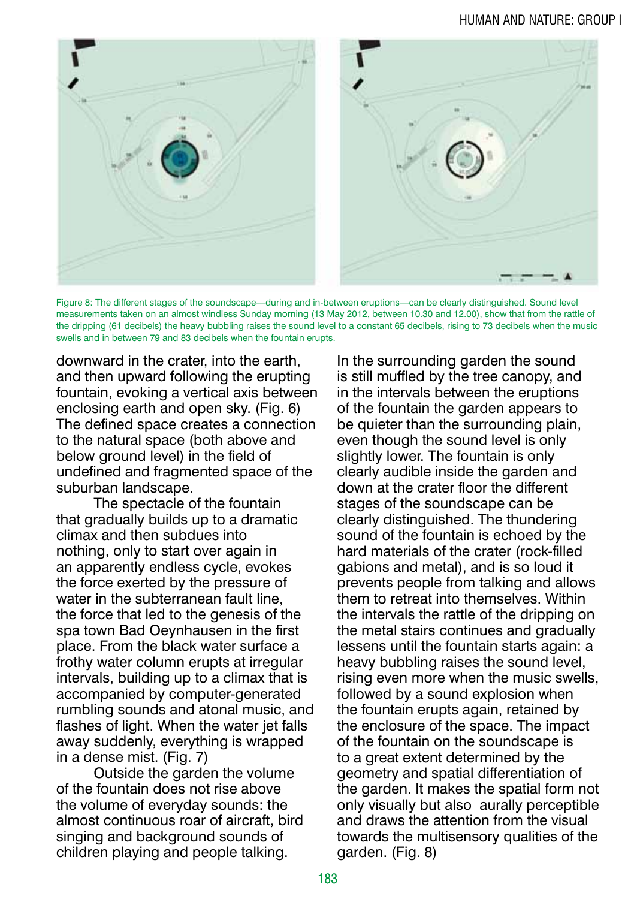

Figure 8: The different stages of the soundscape—during and in-between eruptions—can be clearly distinguished. Sound level measurements taken on an almost windless Sunday morning (13 May 2012, between 10.30 and 12.00), show that from the rattle of the dripping (61 decibels) the heavy bubbling raises the sound level to a constant 65 decibels, rising to 73 decibels when the music swells and in between 79 and 83 decibels when the fountain erupts.

downward in the crater, into the earth, and then upward following the erupting fountain, evoking a vertical axis between enclosing earth and open sky. (Fig. 6) The defined space creates a connection to the natural space (both above and below ground level) in the field of undefined and fragmented space of the suburban landscape.

The spectacle of the fountain that gradually builds up to a dramatic climax and then subdues into nothing, only to start over again in an apparently endless cycle, evokes the force exerted by the pressure of water in the subterranean fault line, the force that led to the genesis of the spa town Bad Oeynhausen in the first place. From the black water surface a frothy water column erupts at irregular intervals, building up to a climax that is accompanied by computer-generated rumbling sounds and atonal music, and flashes of light. When the water jet falls away suddenly, everything is wrapped in a dense mist. (Fig. 7)

Outside the garden the volume of the fountain does not rise above the volume of everyday sounds: the almost continuous roar of aircraft, bird singing and background sounds of children playing and people talking.

In the surrounding garden the sound is still muffled by the tree canopy, and in the intervals between the eruptions of the fountain the garden appears to be quieter than the surrounding plain, even though the sound level is only slightly lower. The fountain is only clearly audible inside the garden and down at the crater floor the different stages of the soundscape can be clearly distinguished. The thundering sound of the fountain is echoed by the hard materials of the crater (rock-filled gabions and metal), and is so loud it prevents people from talking and allows them to retreat into themselves. Within the intervals the rattle of the dripping on the metal stairs continues and gradually lessens until the fountain starts again: a heavy bubbling raises the sound level, rising even more when the music swells, followed by a sound explosion when the fountain erupts again, retained by the enclosure of the space. The impact of the fountain on the soundscape is to a great extent determined by the geometry and spatial differentiation of the garden. It makes the spatial form not only visually but also aurally perceptible and draws the attention from the visual towards the multisensory qualities of the garden. (Fig. 8)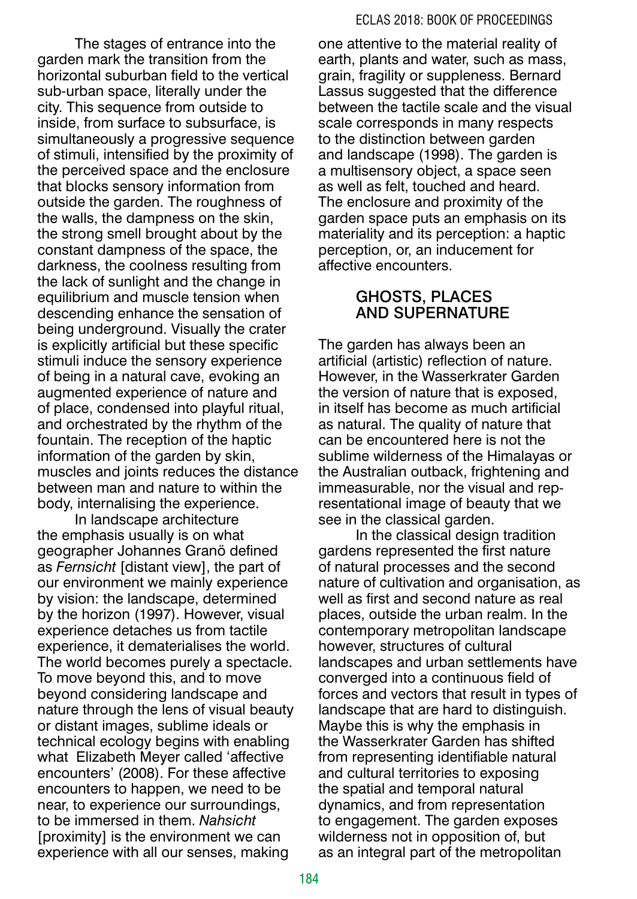The stages of entrance into the garden mark the transition from the horizontal suburban field to the vertical sub-urban space, literally under the city. This sequence from outside to inside, from surface to subsurface, is simultaneously a progressive sequence of stimuli, intensified by the proximity of the perceived space and the enclosure that blocks sensory information from outside the garden. The roughness of the walls, the dampness on the skin, the strong smell brought about by the constant dampness of the space, the darkness, the coolness resulting from the lack of sunlight and the change in equilibrium and muscle tension when descending enhance the sensation of being underground. Visually the crater is explicitly artificial but these specific stimuli induce the sensory experience of being in a natural cave, evoking an augmented experience of nature and of place, condensed into playful ritual, and orchestrated by the rhythm of the fountain. The reception of the haptic information of the garden by skin, muscles and joints reduces the distance between man and nature to within the body, internalising the experience.

In landscape architecture the emphasis usually is on what geographer Johannes Granö defined as *Fernsicht* [distant view], the part of our environment we mainly experience by vision: the landscape, determined by the horizon (1997). However, visual experience detaches us from tactile experience, it dematerialises the world. The world becomes purely a spectacle. To move beyond this, and to move beyond considering landscape and nature through the lens of visual beauty or distant images, sublime ideals or technical ecology begins with enabling what Elizabeth Meyer called 'affective encounters' (2008). For these affective encounters to happen, we need to be near, to experience our surroundings, to be immersed in them. *Nahsicht* [proximity] is the environment we can experience with all our senses, making

one attentive to the material reality of earth, plants and water, such as mass, grain, fragility or suppleness. Bernard Lassus suggested that the difference between the tactile scale and the visual scale corresponds in many respects to the distinction between garden and landscape (1998). The garden is a multisensory object, a space seen as well as felt, touched and heard. The enclosure and proximity of the garden space puts an emphasis on its materiality and its perception: a haptic perception, or, an inducement for affective encounters.

# GHOSTS, PLACES AND SUPERNATURE

The garden has always been an artificial (artistic) reflection of nature. However, in the Wasserkrater Garden the version of nature that is exposed, in itself has become as much artificial as natural. The quality of nature that can be encountered here is not the sublime wilderness of the Himalayas or the Australian outback, frightening and immeasurable, nor the visual and representational image of beauty that we see in the classical garden.

In the classical design tradition gardens represented the first nature of natural processes and the second nature of cultivation and organisation, as well as first and second nature as real places, outside the urban realm. In the contemporary metropolitan landscape however, structures of cultural landscapes and urban settlements have converged into a continuous field of forces and vectors that result in types of landscape that are hard to distinguish. Maybe this is why the emphasis in the Wasserkrater Garden has shifted from representing identifiable natural and cultural territories to exposing the spatial and temporal natural dynamics, and from representation to engagement. The garden exposes wilderness not in opposition of, but as an integral part of the metropolitan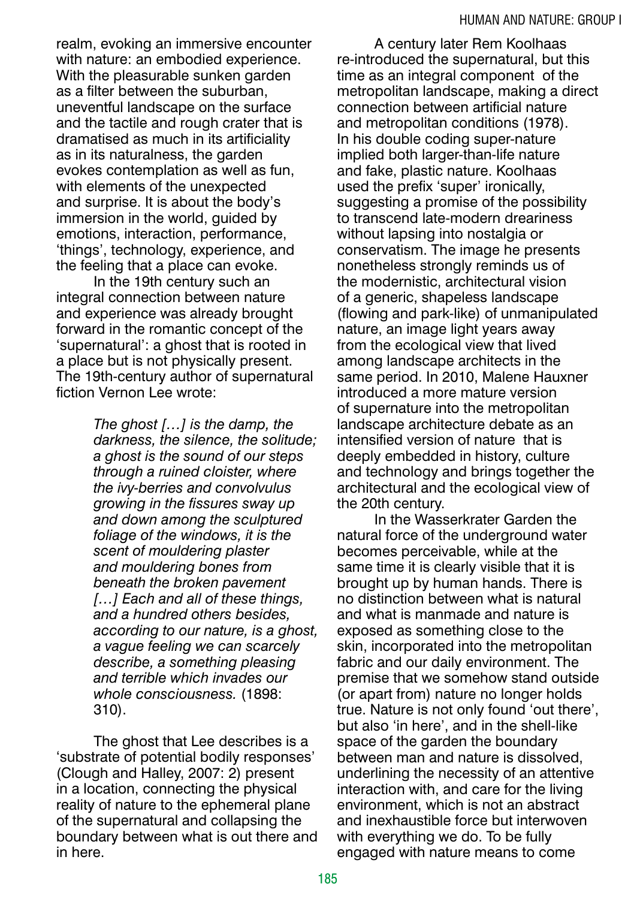realm, evoking an immersive encounter with nature: an embodied experience. With the pleasurable sunken garden as a filter between the suburban, uneventful landscape on the surface and the tactile and rough crater that is dramatised as much in its artificiality as in its naturalness, the garden evokes contemplation as well as fun, with elements of the unexpected and surprise. It is about the body's immersion in the world, quided by emotions, interaction, performance, 'things', technology, experience, and the feeling that a place can evoke.

In the 19th century such an integral connection between nature and experience was already brought forward in the romantic concept of the 'supernatural': a ghost that is rooted in a place but is not physically present. The 19th-century author of supernatural fiction Vernon Lee wrote:

> *The ghost […] is the damp, the darkness, the silence, the solitude; a ghost is the sound of our steps through a ruined cloister, where the ivy-berries and convolvulus growing in the fissures sway up and down among the sculptured foliage of the windows, it is the scent of mouldering plaster and mouldering bones from beneath the broken pavement […] Each and all of these things, and a hundred others besides, according to our nature, is a ghost, a vague feeling we can scarcely describe, a something pleasing and terrible which invades our whole consciousness.* (1898: 310).

The ghost that Lee describes is a 'substrate of potential bodily responses' (Clough and Halley, 2007: 2) present in a location, connecting the physical reality of nature to the ephemeral plane of the supernatural and collapsing the boundary between what is out there and in here.

A century later Rem Koolhaas re-introduced the supernatural, but this time as an integral component of the metropolitan landscape, making a direct connection between artificial nature and metropolitan conditions (1978). In his double coding super-nature implied both larger-than-life nature and fake, plastic nature. Koolhaas used the prefix 'super' ironically, suggesting a promise of the possibility to transcend late-modern dreariness without lapsing into nostalgia or conservatism. The image he presents nonetheless strongly reminds us of the modernistic, architectural vision of a generic, shapeless landscape (flowing and park-like) of unmanipulated nature, an image light years away from the ecological view that lived among landscape architects in the same period. In 2010, Malene Hauxner introduced a more mature version of supernature into the metropolitan landscape architecture debate as an intensified version of nature that is deeply embedded in history, culture and technology and brings together the architectural and the ecological view of the 20th century.

In the Wasserkrater Garden the natural force of the underground water becomes perceivable, while at the same time it is clearly visible that it is brought up by human hands. There is no distinction between what is natural and what is manmade and nature is exposed as something close to the skin, incorporated into the metropolitan fabric and our daily environment. The premise that we somehow stand outside (or apart from) nature no longer holds true. Nature is not only found 'out there', but also 'in here', and in the shell-like space of the garden the boundary between man and nature is dissolved, underlining the necessity of an attentive interaction with, and care for the living environment, which is not an abstract and inexhaustible force but interwoven with everything we do. To be fully engaged with nature means to come